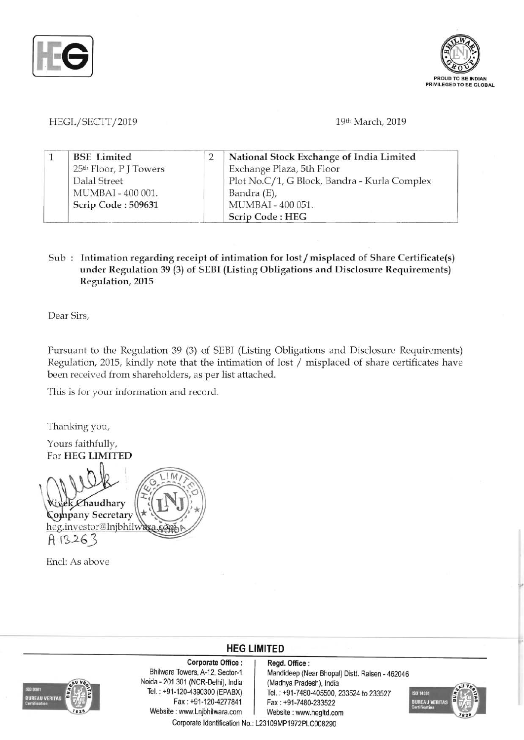



HEGL/SECTT/2019 19th March, 2019

|  | <b>BSE</b> Limited                 | National Stock Exchange of India Limited     |
|--|------------------------------------|----------------------------------------------|
|  | 25 <sup>th</sup> Floor, P J Towers | Exchange Plaza, 5th Floor                    |
|  | Dalal Street                       | Plot No.C/1, G Block, Bandra - Kurla Complex |
|  | MUMBAI - 400 001.                  | Bandra (E),                                  |
|  | Scrip Code: 509631                 | MUMBAI - 400 051.                            |
|  |                                    | Scrip Code: HEG                              |

## Sub : Intimation regarding receipt of intimation for lost / misplaced of Share Certificate(s) under Regulation 39 (3) of SEBI (Listing Obligations and Disclosure Requirements) Regulation, 2015

Dear Sirs,

Pursuant to the Regulation 39 (3) of SEBI (Listing Obligations and Disclosure Requirements) Regulation, 2015, kindly note that the intimation of lost / misplaced of share certificates have been received from shareholders, as per list attached.

This is for your information and record.

Thanking you,

Yours faithfully, For HEG LIMITED

!)JL"'~Haudhary o pany Secretary heg.investor@lnjbhil A 13263

Encl: As above



Corporate Office: Regd. Office:<br>Bhilwara Towers, A-12, Sector-1 Mandideep (Ne Noida - 201 301 (NCR-Delhi), India (Madhya Pradesh), India Website: www.Lnjbhilwara.com | Website: www.hegltd.com Corporate Identification No.: L23109MP1972PLC008290

Mandideep (Near Bhopal) Distt. Raisen - 462046

**HEG LIMITED** 

 $T=120-4390300$  (EPABX)  $\begin{array}{|l|} \hline \text{Tel. : } +91-7480-405500, 233524 \text{ to } 233527 \hline \text{Fax. : } +91-7480-233522 \hline \end{array}$ Fax: +91-7480-233522